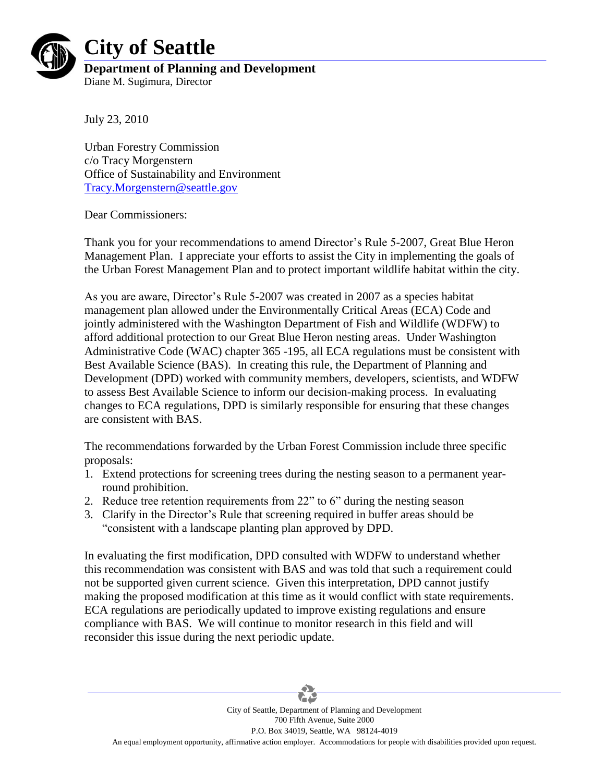

## **City of Seattle**

**Department of Planning and Development** Diane M. Sugimura, Director

July 23, 2010

Urban Forestry Commission c/o Tracy Morgenstern Office of Sustainability and Environment [Tracy.Morgenstern@seattle.gov](mailto:Tracy.Morgenstern@seattle.gov)

Dear Commissioners:

Thank you for your recommendations to amend Director's Rule 5-2007, Great Blue Heron Management Plan. I appreciate your efforts to assist the City in implementing the goals of the Urban Forest Management Plan and to protect important wildlife habitat within the city.

As you are aware, Director's Rule 5-2007 was created in 2007 as a species habitat management plan allowed under the Environmentally Critical Areas (ECA) Code and jointly administered with the Washington Department of Fish and Wildlife (WDFW) to afford additional protection to our Great Blue Heron nesting areas. Under Washington Administrative Code (WAC) chapter 365 -195, all ECA regulations must be consistent with Best Available Science (BAS). In creating this rule, the Department of Planning and Development (DPD) worked with community members, developers, scientists, and WDFW to assess Best Available Science to inform our decision-making process. In evaluating changes to ECA regulations, DPD is similarly responsible for ensuring that these changes are consistent with BAS.

The recommendations forwarded by the Urban Forest Commission include three specific proposals:

- 1. Extend protections for screening trees during the nesting season to a permanent yearround prohibition.
- 2. Reduce tree retention requirements from 22" to 6" during the nesting season
- 3. Clarify in the Director's Rule that screening required in buffer areas should be "consistent with a landscape planting plan approved by DPD.

In evaluating the first modification, DPD consulted with WDFW to understand whether this recommendation was consistent with BAS and was told that such a requirement could not be supported given current science. Given this interpretation, DPD cannot justify making the proposed modification at this time as it would conflict with state requirements. ECA regulations are periodically updated to improve existing regulations and ensure compliance with BAS. We will continue to monitor research in this field and will reconsider this issue during the next periodic update.